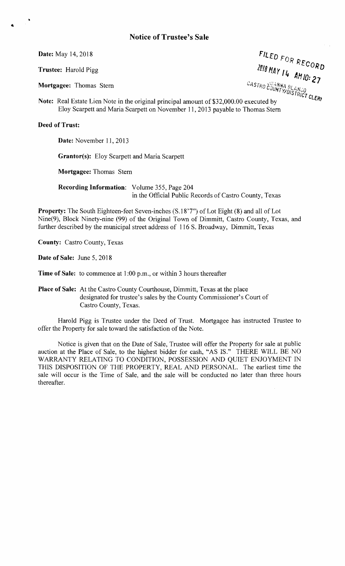The CASTRO CONTROL CONTROL CONTROL CONTROL CONTROL CONTROL CONTROL CONTROL CONTROL CONTROL CONTROL CONTROL CONTROL CONTROL CONTROL CONTROL CONTROL CONTROL CONTROL CONTROL CONTROL CONTROL CONTROL CONTROL CONTROL CONTROL CON Date: May 14, 2018  $F1_{LEDFOD}$  $RECO$ Trustee: Harold Pigg *PHAY II*  $^{4}$  AH 10: 2 fT I *YIDI" ''',,0* STRICT

Note: Real Estate Lien Note in the original principal amount of \$32,000.00 executed by Eloy Scarpett and Maria Scarpett on November 11, 2013 payable to Thomas Stem

## Deed of Trust:

Date: November 11, 2013

Grantor(s): Eloy Scarpett and Maria Scarpett

Mortgagee: Thomas Stem

Recording Information: Volume 355, Page 204 in the Official Public Records of Castro County, Texas

Property: The South Eighteen-feet Seven-inches (S.18'7") of Lot Eight (8) and all of Lot Nine(9), Block Ninety-nine (99) of the Original Town of Dimmitt, Castro County, Texas, and further described by the municipal street address of 116 S. Broadway, Dimmitt, Texas

County: Castro County, Texas

Date of Sale: June 5, 2018

Time of Sale: to commence at 1 :00 p.m., or within 3 hours thereafter

Place of Sale: At the Castro County Courthouse, Dimmitt, Texas at the place designated for trustee's sales by the County Commissioner's Court of Castro County, Texas.

Harold Pigg is Trustee under the Deed of Trust. Mortgagee has instructed Trustee to offer the Property for sale toward the satisfaction of the Note.

Notice is given that on the Date of Sale, Trustee will offer the Property for sale at public auction at the Place of Sale, to the highest bidder for cash, "AS IS." THERE WILL BE NO WARRANTY RELATING TO CONDITION, POSSESSION AND QUIET ENJOYMENT IN THIS DISPOSITION OF THE PROPERTY, REAL AND PERSONAL. The earliest time the sale will occur is the Time of Sale, and the sale will be conducted no later than three hours thereafter.